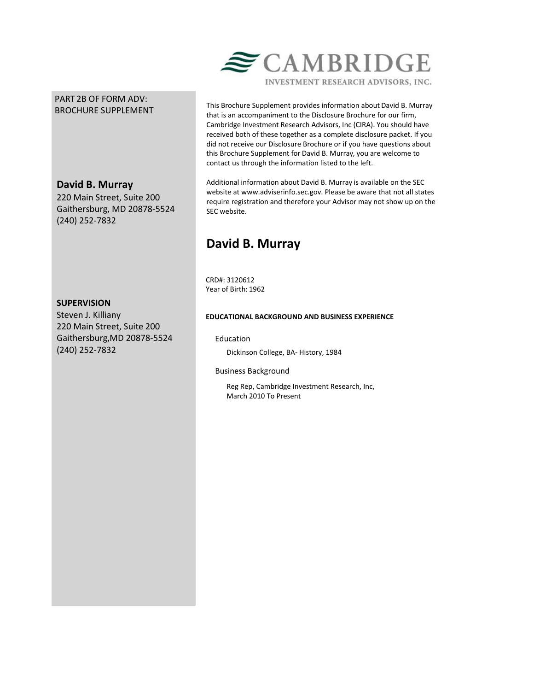# PART 2B OF FORM ADV: BROCHURE SUPPLEMENT

# **David B. Murray**

220 Main Street, Suite 200 Gaithersburg, MD 20878-5524 (240) 252-7832

This Brochure Supplement provides information about David B. Murray that is an accompaniment to the Disclosure Brochure for our firm, Cambridge Investment Research Advisors, Inc (CIRA). You should have received both of these together as a complete disclosure packet. If you did not receive our Disclosure Brochure or if you have questions about this Brochure Supplement for David B. Murray, you are welcome to contact us through the information listed to the left.

 $\epsilon$  CAMBRIDGE

INVESTMENT RESEARCH ADVISORS, INC.

Additional information about David B. Murray is available on the SEC website at www.adviserinfo.sec.gov. Please be aware that not all states require registration and therefore your Advisor may not show up on the SEC website.

# **David B. Murray**

CRD#: 3120612 Year of Birth: 1962

# **SUPERVISION**

Steven J. Killiany 220 Main Street, Suite 200 Gaithersburg,MD 20878-5524 (240) 252-7832

## **EDUCATIONAL BACKGROUND AND BUSINESS EXPERIENCE**

## Education

Dickinson College, BA- History, 1984

Business Background

Reg Rep, Cambridge Investment Research, Inc, March 2010 To Present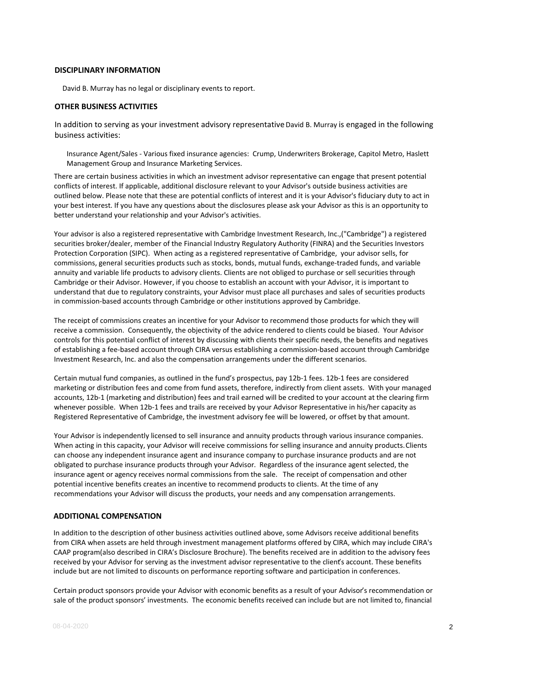### **DISCIPLINARY INFORMATION**

David B. Murray has no legal or disciplinary events to report.

### **OTHER BUSINESS ACTIVITIES**

In addition to serving as your investment advisory representative David B. Murray is engaged in the following business activities:

Insurance Agent/Sales - Various fixed insurance agencies: Crump, Underwriters Brokerage, Capitol Metro, Haslett Management Group and Insurance Marketing Services.

There are certain business activities in which an investment advisor representative can engage that present potential conflicts of interest. If applicable, additional disclosure relevant to your Advisor's outside business activities are outlined below. Please note that these are potential conflicts of interest and it is your Advisor's fiduciary duty to act in your best interest. If you have any questions about the disclosures please ask your Advisor as this is an opportunity to better understand your relationship and your Advisor's activities.

Your advisor is also a registered representative with Cambridge Investment Research, Inc.,("Cambridge") a registered securities broker/dealer, member of the Financial Industry Regulatory Authority (FINRA) and the Securities Investors Protection Corporation (SIPC). When acting as a registered representative of Cambridge, your advisor sells, for commissions, general securities products such as stocks, bonds, mutual funds, exchange-traded funds, and variable annuity and variable life products to advisory clients. Clients are not obliged to purchase or sell securities through Cambridge or their Advisor. However, if you choose to establish an account with your Advisor, it is important to understand that due to regulatory constraints, your Advisor must place all purchases and sales of securities products in commission-based accounts through Cambridge or other institutions approved by Cambridge.

The receipt of commissions creates an incentive for your Advisor to recommend those products for which they will receive a commission. Consequently, the objectivity of the advice rendered to clients could be biased. Your Advisor controls for this potential conflict of interest by discussing with clients their specific needs, the benefits and negatives of establishing a fee-based account through CIRA versus establishing a commission-based account through Cambridge Investment Research, Inc. and also the compensation arrangements under the different scenarios.

Certain mutual fund companies, as outlined in the fund's prospectus, pay 12b-1 fees. 12b-1 fees are considered marketing or distribution fees and come from fund assets, therefore, indirectly from client assets. With your managed accounts, 12b-1 (marketing and distribution) fees and trail earned will be credited to your account at the clearing firm whenever possible. When 12b-1 fees and trails are received by your Advisor Representative in his/her capacity as Registered Representative of Cambridge, the investment advisory fee will be lowered, or offset by that amount.

Your Advisor is independently licensed to sell insurance and annuity products through various insurance companies. When acting in this capacity, your Advisor will receive commissions for selling insurance and annuity products. Clients can choose any independent insurance agent and insurance company to purchase insurance products and are not obligated to purchase insurance products through your Advisor. Regardless of the insurance agent selected, the insurance agent or agency receives normal commissions from the sale. The receipt of compensation and other potential incentive benefits creates an incentive to recommend products to clients. At the time of any recommendations your Advisor will discuss the products, your needs and any compensation arrangements.

## **ADDITIONAL COMPENSATION**

In addition to the description of other business activities outlined above, some Advisors receive additional benefits from CIRA when assets are held through investment management platforms offered by CIRA, which may include CIRA's CAAP program(also described in CIRA's Disclosure Brochure). The benefits received are in addition to the advisory fees received by your Advisor for serving as the investment advisor representative to the client's account. These benefits include but are not limited to discounts on performance reporting software and participation in conferences.

Certain product sponsors provide your Advisor with economic benefits as a result of your Advisor's recommendation or sale of the product sponsors' investments. The economic benefits received can include but are not limited to, financial